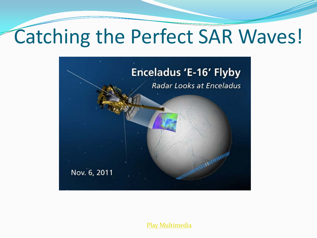#### Catching the Perfect SAR Waves!



[Play Multimedia](http://www.nasa.gov/wav/123163main_cas-skr1-112203.wav)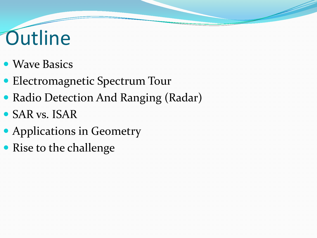## **Outline**

- Wave Basics
- Electromagnetic Spectrum Tour
- Radio Detection And Ranging (Radar)
- SAR vs. ISAR
- Applications in Geometry
- Rise to the challenge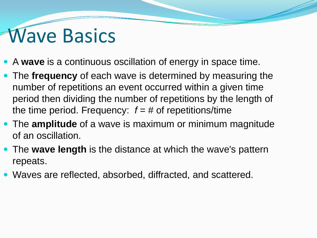#### **Wave Basics**

- A **wave** is a continuous oscillation of energy in space time.
- The **frequency** of each wave is determined by measuring the number of repetitions an event occurred within a given time period then dividing the number of repetitions by the length of the time period. Frequency:  $f = #$  of repetitions/time
- The **amplitude** of a wave is maximum or minimum magnitude of an oscillation.
- The **wave length** is the distance at which the wave's pattern repeats.
- Waves are reflected, absorbed, diffracted, and scattered.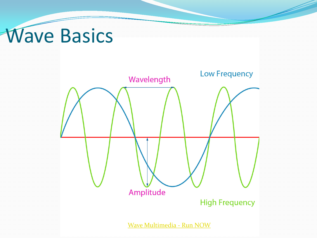## **Wave Basics**

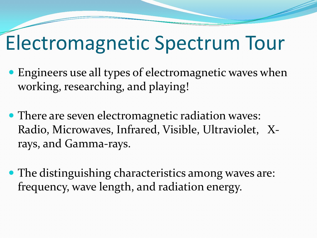#### Electromagnetic Spectrum Tour

- Engineers use all types of electromagnetic waves when working, researching, and playing!
- There are seven electromagnetic radiation waves: Radio, Microwaves, Infrared, Visible, Ultraviolet, Xrays, and Gamma-rays.
- The distinguishing characteristics among waves are: frequency, wave length, and radiation energy.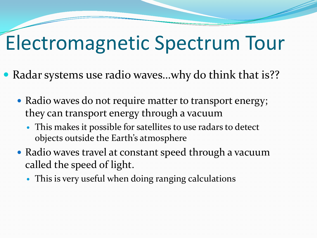#### Electromagnetic Spectrum Tour

- Radar systems use radio waves...why do think that is??
	- Radio waves do not require matter to transport energy; they can transport energy through a vacuum
		- This makes it possible for satellites to use radars to detect objects outside the Earth's atmosphere
	- Radio waves travel at constant speed through a vacuum called the speed of light.
		- This is very useful when doing ranging calculations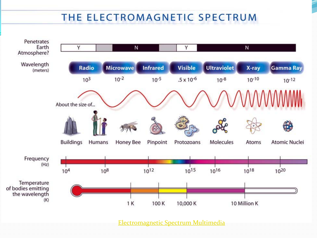#### THE ELECTROMAGNETIC SPECTRUM



[Electromagnetic Spectrum Multimedia](http://missionscience.nasa.gov/ems/emsVideo_01intro.html)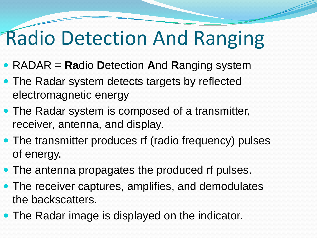## Radio Detection And Ranging

- RADAR = **Ra**dio **D**etection **A**nd **R**anging system
- The Radar system detects targets by reflected electromagnetic energy
- The Radar system is composed of a transmitter, receiver, antenna, and display.
- The transmitter produces rf (radio frequency) pulses of energy.
- The antenna propagates the produced rf pulses.
- The receiver captures, amplifies, and demodulates the backscatters.
- The Radar image is displayed on the indicator.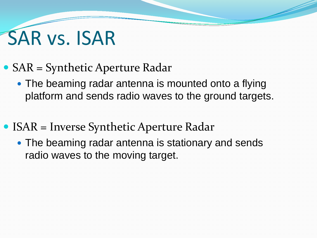## SAR vs. ISAR

- SAR = Synthetic Aperture Radar
	- The beaming radar antenna is mounted onto a flying platform and sends radio waves to the ground targets.
- ISAR = Inverse Synthetic Aperture Radar
	- The beaming radar antenna is stationary and sends radio waves to the moving target.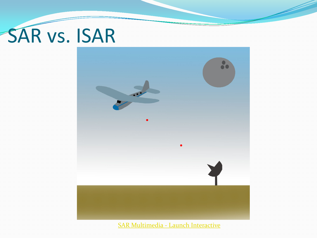# SAR vs. ISAR



SAR Multimedia - [Launch Interactive](http://www.pbs.org/wgbh/nova/military/imaging-radar.html)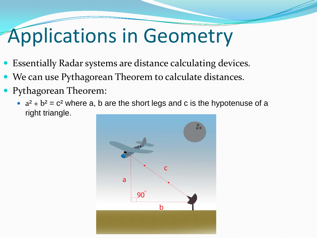## Applications in Geometry

- Essentially Radar systems are distance calculating devices.
- We can use Pythagorean Theorem to calculate distances.
- Pythagorean Theorem:
	- $a^2 + b^2 = c^2$  where a, b are the short legs and c is the hypotenuse of a right triangle.

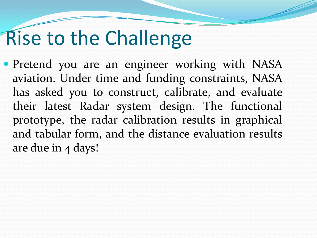#### Rise to the Challenge

• Pretend you are an engineer working with NASA aviation. Under time and funding constraints, NASA has asked you to construct, calibrate, and evaluate their latest Radar system design. The functional prototype, the radar calibration results in graphical and tabular form, and the distance evaluation results are due in 4 days!